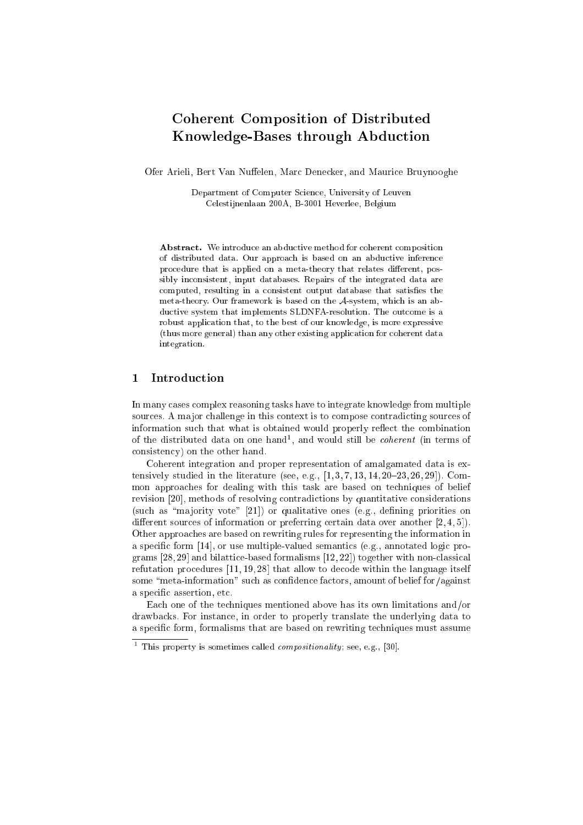# Coherent Composition of Distributed Knowledge-Bases through Abdu
tion

Ofer Arieli, Bert Van Nuffelen, Marc Denecker, and Maurice Bruynooghe

Department of Computer Science, University of Leuven Celestijnenlaan 200A, B-3001 Heverlee, Belgium

Abstract. We introduce an abductive method for coherent composition of distributed data. Our approach is based on an abductive inference procedure that is applied on a meta-theory that relates different, possibly in
onsistent, input databases. Repairs of the integrated data are computed, resulting in a consistent output database that satisfies the meta-theory. Our framework is based on the A-system, whi
h is an abductive system that implements SLDNFA-resolution. The outcome is a robust application that, to the best of our knowledge, is more expressive (thus more general) than any other existing appli
ation for oherent data integration.

# 1 Introduction

In many ases omplex reasoning tasks have to integrate knowledge from multiple sources. A major challenge in this context is to compose contradicting sources of information such that what is obtained would properly reflect the combination of the distributed data on one hand , and would still be *conerent* (in terms of onsisten
y) on the other hand.

Coherent integration and proper representation of amalgamated data is extensively studied in the literature (see, e.g.,  $[1, 3, 7, 13, 14, 20-23, 26, 29]$ ). Common approa
hes for dealing with this task are based on te
hniques of belief revision [20], methods of resolving contradictions by quantitative considerations (such as "majority vote"  $[21]$ ) or qualitative ones (e.g., defining priorities on different sources of information or preferring certain data over another  $[2, 4, 5]$ . Other approa
hes are based on rewriting rules for representing the information in a specific form  $[14]$ , or use multiple-valued semantics (e.g., annotated logic programs  $[28, 29]$  and bilattice-based formalisms  $[12, 22]$  together with non-classical refutation procedures  $[11, 19, 28]$  that allow to decode within the language itself some "meta-information" such as confidence factors, amount of belief for/against a specific assertion, etc.

Ea
h one of the te
hniques mentioned above has its own limitations and/or drawba
ks. For instan
e, in order to properly translate the underlying data to a specific form, formalisms that are based on rewriting techniques must assume

I has property is sometimes called *compositionality*; see, e.g., [30].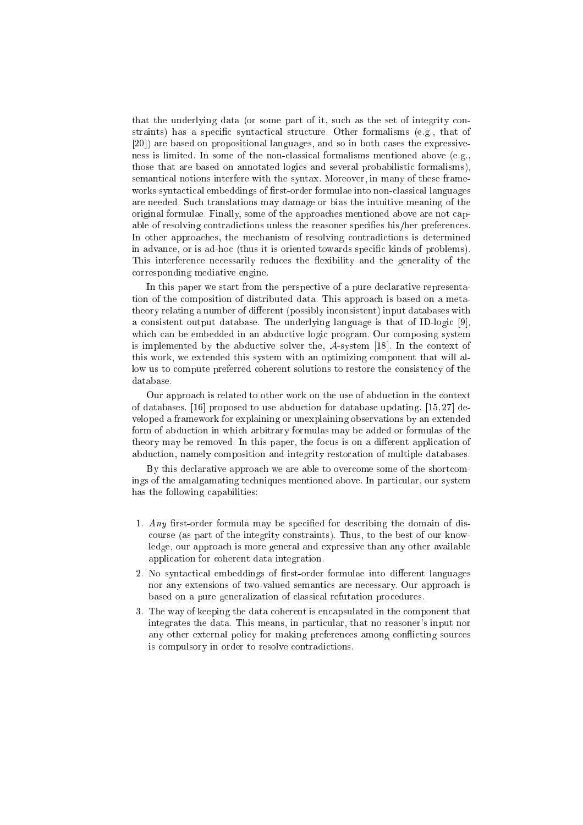that the underlying data (or some part of it, su
h as the set of integrity onstraints) has a specific syntactical structure. Other formalisms (e.g., that of [20]) are based on propositional languages, and so in both cases the expressiveness is limited. In some of the nonlassi
al formalisms mentioned above (e.g., those that are based on annotated logi
s and several probabilisti formalisms), semanti
al notions interfere with the syntax. Moreover, in many of these frameworks syntactical embeddings of first-order formulae into non-classical languages are needed. Su
h translations may damage or bias the intuitive meaning of the original formulae. Finally, some of the approaches mentioned above are not capable of resolving contradictions unless the reasoner specifies his/her preferences. In other approaches, the mechanism of resolving contradictions is determined in advance, or is ad-hoc (thus it is oriented towards specific kinds of problems). This interference necessarily reduces the flexibility and the generality of the orresponding mediative engine.

In this paper we start from the perspective of a pure declarative representation of the omposition of distributed data. This approa
h is based on a metatheory relating a number of different (possibly inconsistent) input databases with a consistent output database. The underlying language is that of ID-logic  $[9]$ , which can be embedded in an abductive logic program. Our composing system is implemented by the abductive solver the,  $A$ -system [18]. In the context of this work, we extended this system with an optimizing omponent that will allow us to compute preferred coherent solutions to restore the consistency of the database.

Our approa
h is related to other work on the use of abdu
tion in the ontext of databases. [16] proposed to use abduction for database updating. [15,27] developed a framework for explaining or unexplaining observations by an extended form of abdu
tion in whi
h arbitrary formulas may be added or formulas of the theory may be removed. In this paper, the focus is on a different application of abdu
tion, namely omposition and integrity restoration of multiple databases.

By this declarative approach we are able to overcome some of the shortcomings of the amalgamating te
hniques mentioned above. In parti
ular, our system has the following apabilities:

- 1. Any first-order formula may be specified for describing the domain of discourse (as part of the integrity constraints). Thus, to the best of our knowledge, our approach is more general and expressive than any other available appli
ation for oherent data integration.
- 2. No syntactical embeddings of first-order formulae into different languages nor any extensions of two-valued semanti
s are ne
essary. Our approa
h is based on a pure generalization of lassi
al refutation pro
edures.
- 3. The way of keeping the data oherent is en
apsulated in the omponent that integrates the data. This means, in particular, that no reasoner's input nor any other external policy for making preferences among conflicting sources is compulsory in order to resolve contradictions.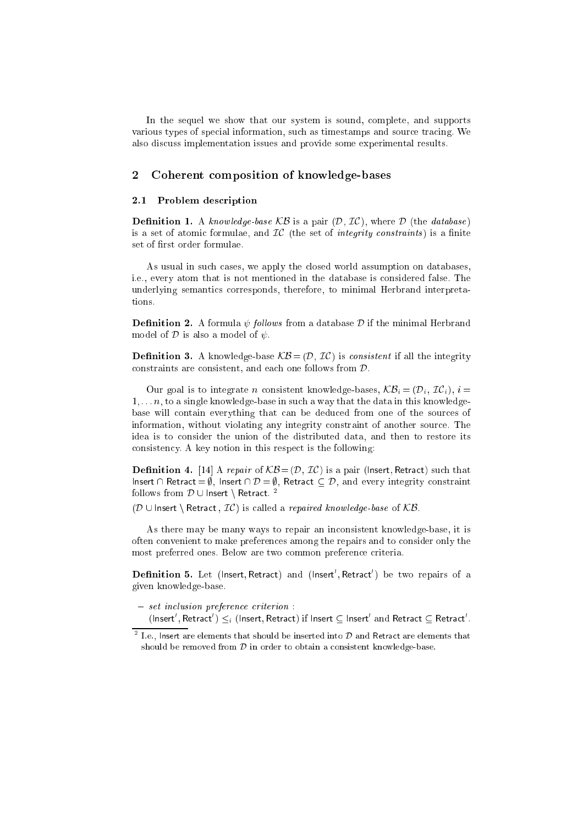In the sequel we show that our system is sound, complete, and supports various types of spe
ial information, su
h as timestamps and sour
e tra
ing. We also dis
uss implementation issues and provide some experimental results.

#### 2Coherent omposition of knowledge-bases

#### $2.1$ Problem description

**Definition 1.** A knowledge-base  $KB$  is a pair  $(D, \mathcal{IC})$ , where  $D$  (the database) is a set of atomic formulae, and  $\mathcal{IC}$  (the set of *integrity constraints*) is a finite set of first order formulae.

As usual in such cases, we apply the closed world assumption on databases, i.e., every atom that is not mentioned in the database is onsidered false. The underlying semanti
s orresponds, therefore, to minimal Herbrand interpretations.

**Definition 2.** A formula  $\psi$  follows from a database  $\mathcal{D}$  if the minimal Herbrand model of  $D$  is also a model of  $\psi$ .

**Definition 3.** A knowledge-base  $\mathcal{KB} = (\mathcal{D}, \mathcal{IC})$  is *consistent* if all the integrity onstraints are onsistent, and ea
h one follows from D.

Our goal is to integrate *n* consistent knowledge-bases,  $KB_i = (D_i, \mathcal{IC}_i)$ ,  $i =$  $1, \ldots n$ , to a single knowledge-base in such a way that the data in this knowledgebase will ontain everything that an be dedu
ed from one of the sour
es of information, without violating any integrity onstraint of another sour
e. The idea is to onsider the union of the distributed data, and then to restore its consistency. A key notion in this respect is the following:

**Definition 4.** [14] A repair of  $KB = (\mathcal{D}, \mathcal{I\C})$  is a pair (lnsert, Retract) such that Insert  $\cap$  Retract  $=\emptyset$ , Insert  $\cap \mathcal{D} = \emptyset$ , Retract  $\subset \mathcal{D}$ , and every integrity constraint rollows from  $D \cup$  insert  $\setminus$  retract. -

 $(D \cup$  Insert \ Retract,  $\mathcal{IC}$ ) is called a *repaired knowledge-base* of  $KB$ .

As there may be many ways to repair an inconsistent knowledge-base, it is often onvenient to make preferen
es among the repairs and to onsider only the most preferred ones. Below are two common preference criteria.

 ${\bf D}$ efinition 5. Let (Insert, Retract) and (Insert , Retract ) be two repairs of a given knowledge-base.

 $-$  set inclusion preference criterion :

(insert), Retract  $j \leq i$  (insert, Retract) if insert  $\subseteq$  insert and Retract  $\subseteq$  Retract .

 $^\circ$  1.e., insert are elements that should be inserted into  $\nu$  and Retract are elements that should be removed from  $D$  in order to obtain a consistent knowledge-base.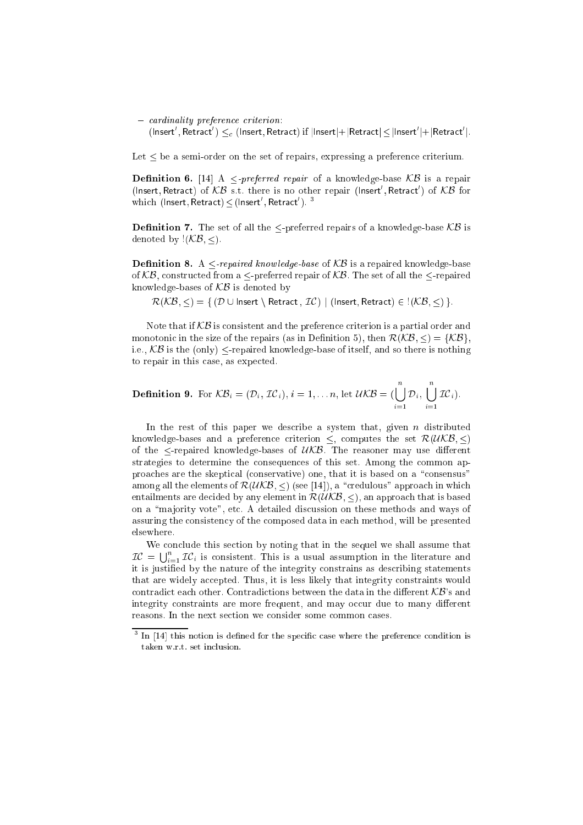$-$  cardinality preference criterion:

(Insert, Retract )  $\leq_c$  (Insert, Retract) if  $|\text{Insert}|+|\text{Retract}| \leq |\text{Insert}| +|\text{Retract}|$ .

Let  $\leq$  be a semi-order on the set of repairs, expressing a preference criterium.

**Definition 6.** [14] A  $\leq$ -preferred repair of a knowledge-base KB is a repair (insert, Retract) of  $\Delta B$  s.t. there is no other repair (insert , Retract ) of  $\Delta B$  for  $\text{wmin}$  (Insert, Ketract)  $\leq$  (Insert), Ketract ).  $\degree$ 

**Definition 7.** The set of all the  $\leq$ -preferred repairs of a knowledge-base KB is denoted by  $!(\mathcal{KB},<).$ 

**Definition 8.** A  $\leq$ -repaired knowledge-base of KB is a repaired knowledge-base of  $KB$ , constructed from a  $\leq$ -preferred repair of KB. The set of all the  $\leq$ -repaired knowledge-bases of  $KB$  is denoted by

 $\mathcal{R}(\mathcal{KB}, \leq) = \{ (D \cup \text{Insert} \setminus \text{Retract}, \mathcal{IC}) \mid (\text{Insert}, \text{Retract}) \in \{ (\mathcal{KB}, \leq) \}.$ 

Note that if  $KB$  is consistent and the preference criterion is a partial order and monotonic in the size of the repairs (as in Definition 5), then  $\mathcal{R}(\mathcal{KB}, \leq) = \{KB\}$ , i.e.,  $KB$  is the (only)  $\leq$ -repaired knowledge-base of itself, and so there is nothing to repair in this ase, as expe
ted.

**Definition 9.** For 
$$
\mathcal{KB}_i = (\mathcal{D}_i, \mathcal{IC}_i)
$$
,  $i = 1, ..., n$ , let  $\mathcal{UKB} = (\bigcup_{i=1}^n \mathcal{D}_i, \bigcup_{i=1}^n \mathcal{IC}_i)$ .

In the rest of this paper we describe a system that, given n distributed knowledge-bases and a preference criterion  $\leq,$  computes the set  $\mathcal{R}(\mathcal{UKB},\leq)$ of the  $\leq$ -repaired knowledge-bases of  $UKB$ . The reasoner may use different strategies to determine the onsequen
es of this set. Among the ommon approaches are the skeptical (conservative) one, that it is based on a "consensus" among all the elements of  $\mathcal{R}(UKB, \leq)$  (see [14]), a "credulous" approach in which entailments are decided by any element in  $\mathcal{R}(\mathcal{UKB}, \leq)$ , an approach that is based on a "majority vote", etc. A detailed discussion on these methods and ways of assuring the onsisten
y of the omposed data in ea
h method, will be presented elsewhere.

We conclude this section by noting that in the sequel we shall assume that  $IC = \bigcup_{i=1}^{n} IC_i$  is consistent. This is a usual assumption in the literature and it is justied by the nature of the integrity onstrains as des
ribing statements that are widely accepted. Thus, it is less likely that integrity constraints would contradict each other. Contradictions between the data in the different  $\mathcal{KB}$ 's and integrity constraints are more frequent, and may occur due to many different reasons. In the next section we consider some common cases.

 $^{\circ}$  In  $|14|$  this notion is defined for the specific case where the preference condition is taken w.r.t. set in
lusion.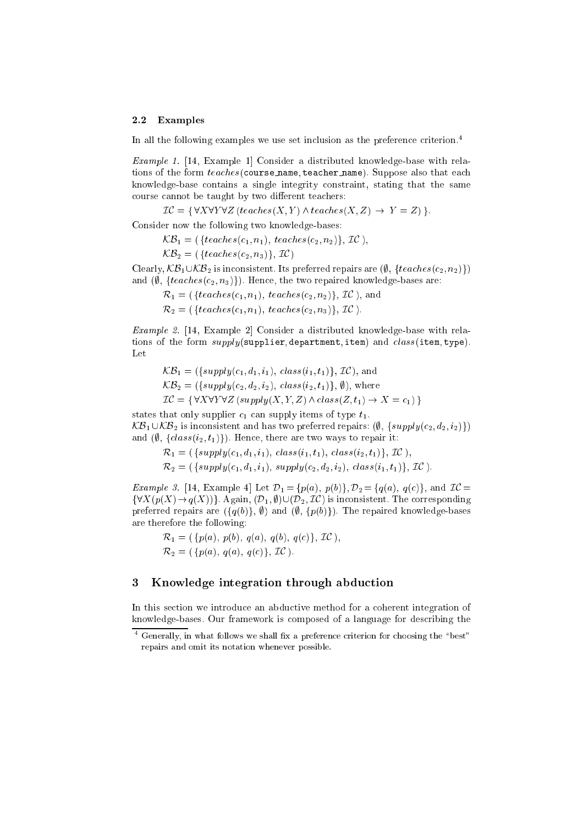### 2.2 Examples

In all the following examples we use set inclusion as the preference criterion.<sup>4</sup>

Example 1. [14, Example 1] Consider a distributed knowledge-base with relations of the form *teaches* (course\_name, teacher\_name). Suppose also that each knowledge-base ontains a single integrity onstraint, stating that the same course cannot be taught by two different teachers:

 $IC = \{ \forall X \forall Y \forall Z (teaches(X, Y) \land teaches(X, Z) \rightarrow Y = Z) \}.$ 

Consider now the following two knowledge-bases:

 $KB_1 = (\{teaches(c_1, n_1), \teaches(c_2, n_2)\}, \mathcal{IC})$ ,

 $KB_2 = (\{teaches(c_2, n_3)\}, \mathcal{IC})$ 

Clearly,  $KB_1 \cup KB_2$  is inconsistent. Its preferred repairs are  $(\emptyset, \{teaches(c_2, n_2)\})$ and  $(\emptyset, \{teaches(c_2, n_3)\})$ . Hence, the two repaired knowledge-bases are:

 $\mathcal{R}_1 = (\{teaches(c_1, n_1), \,teaches(c_2, n_2)\}, \mathcal{IC})$ , and

 $\mathcal{R}_2 = (\{teaches(c_1, n_1), \,teaches(c_2, n_3)\}, \mathcal{I}\mathcal{C})$ .

Example 2. [14, Example 2] Consider a distributed knowledge-base with relations of the form  $supply$ (supplier, department, item) and  $class$ (item, type). Let

$$
\mathcal{KB}_1 = (\{ \text{supply}(c_1, d_1, i_1), \text{class}(i_1, t_1) \}, \mathcal{IC}), \text{ and}
$$
  
\n
$$
\mathcal{KB}_2 = (\{ \text{supply}(c_2, d_2, i_2), \text{class}(i_2, t_1) \}, \emptyset), \text{ where}
$$
  
\n
$$
\mathcal{IC} = \{ \forall X \forall Y \forall Z (\text{supply}(X, Y, Z) \land \text{class}(Z, t_1) \to X = c_1) \}
$$

states that only supplier  $c_1$  can supply items of type  $t_1$ .  $KB_1 \cup KB_2$  is inconsistent and has two preferred repairs:  $(\emptyset, \{supply(c_2, d_2, i_2)\})$ and  $(\emptyset, \{class(i_2, t_1)\})$ . Hence, there are two ways to repair it:

$$
\mathcal{R}_1 = (\{ supply(c_1, d_1, i_1), class(i_1, t_1), class(i_2, t_1) \}, \mathcal{IC}),
$$
  

$$
\mathcal{R}_2 = (\{ supply(c_1, d_1, i_1), supply(c_2, d_2, i_2), class(i_1, t_1) \}, \mathcal{IC})
$$

*Example 3.* [14, Example 4] Let  $\mathcal{D}_1 = \{p(a), p(b)\}, \mathcal{D}_2 = \{q(a), q(c)\}\$ , and  $\mathcal{IC} =$  $\{\forall X(p(X) \rightarrow q(X))\}\$ . Again,  $(D_1, \emptyset) \cup (D_2, \mathcal{IC})$  is inconsistent. The corresponding preferred repairs are  $({q(b)}, \emptyset)$  and  $(\emptyset, {p(b)}$ . The repaired knowledge-bases are therefore the following:

 $\mathcal{R}_1 = (\{p(a), p(b), q(a), q(b), q(c)\}, \mathcal{IC}),$  $\mathcal{R}_2 = (\{p(a), q(a), q(c)\}, \mathcal{IC})$ .

### 3Knowledge integration through abdu
tion

In this section we introduce an abductive method for a coherent integration of knowledge-bases. Our framework is omposed of a language for des
ribing the

 $\,$  Generally, in what follows we shall fix a preference criterion for choosing the "best" repairs and omit its notation whenever possible.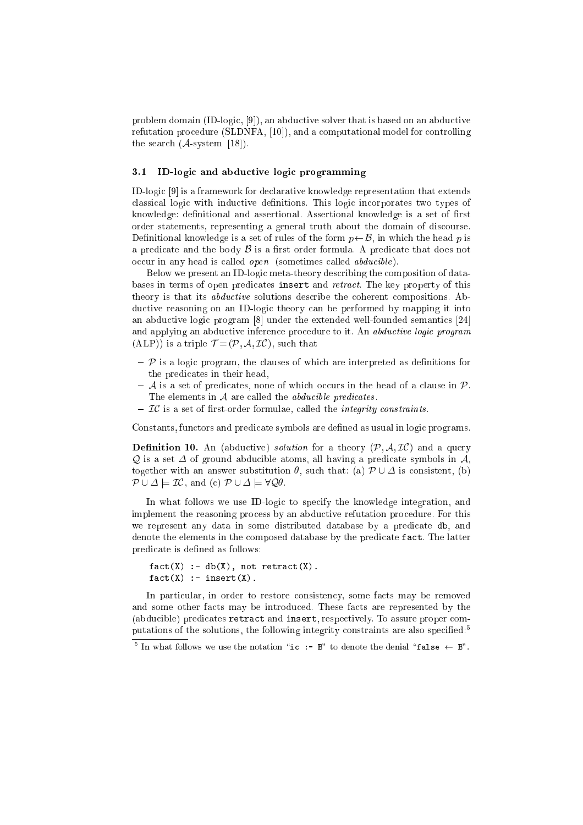problem domain  $(ID\text{-}logic, [9])$ , an abductive solver that is based on an abductive refutation procedure  $(SLDNFA, [10])$ , and a computational model for controlling the search  $(A\text{-system } [18])$ .

### 3.1 ID-logic and abductive logic programming

ID-logic [9] is a framework for declarative knowledge representation that extends lassi
al logi with indu
tive denitions. This logi in
orporates two types of knowledge: definitional and assertional. Assertional knowledge is a set of first order statements, representing a general truth about the domain of dis
ourse. Definitional knowledge is a set of rules of the form  $p \leftarrow \mathcal{B}$ , in which the head p is a predicate and the body  $\beta$  is a first order formula. A predicate that does not occur in any head is called *open* (sometimes called *abducible*).

Below we present an ID-logic meta-theory describing the composition of databases in terms of open predicates insert and *retract*. The key property of this theory is that its *abductive* solutions describe the coherent compositions. Abductive reasoning on an ID-logic theory can be performed by mapping it into an abductive logic program [8] under the extended well-founded semantics [24] and applying an abductive inference procedure to it. An abductive logic program  $(ALP)$  is a triple  $\mathcal{T} = (\mathcal{P}, \mathcal{A}, \mathcal{I}\mathcal{C})$ , such that

- $-$  P is a logic program, the clauses of which are interpreted as definitions for the predicates in their head,
- ${\bf A}$  is a set of predicates, none of which occurs in the head of a clause in P. The elements in  $A$  are called the *abducible predicates*.
- $= \mathcal{IC}$  is a set of first-order formulae, called the *integrity constraints*.

Constants, functors and predicate symbols are defined as usual in logic programs.

**Definition 10.** An (abductive) *solution* for a theory  $(\mathcal{P}, \mathcal{A}, \mathcal{IC})$  and a query Q is a set  $\Delta$  of ground abducible atoms, all having a predicate symbols in  $\mathcal{A}$ . together with an answer substitution  $\theta$ , such that: (a)  $\mathcal{P} \cup \Delta$  is consistent, (b)  $P \cup \Delta \models \mathcal{IC}$ , and (c)  $P \cup \Delta \models \forall \mathcal{Q}\theta$ .

In what follows we use ID-logic to specify the knowledge integration, and implement the reasoning process by an abductive refutation procedure. For this we represent any data in some distributed database by a predicate db, and denote the elements in the composed database by the predicate fact. The latter predicate is defined as follows:

```
the term of the contract of the contract of the contract of the contract of the contract of the contract of the
the term of the contract of the contract of the contract of the contract of the contract of the contract of the contract of the contract of the contract of the contract of the contract of the contract of the contract of th
```
In particular, in order to restore consistency, some facts may be removed and some other facts may be introduced. These facts are represented by the (abducible) predicates retract and insert, respectively. To assure proper computations of the solutions, the following integrity constraints are also specified:<sup>5</sup>

In what follows we use the notation "ic :- B" to denote the denial "false  $\leftarrow$  B".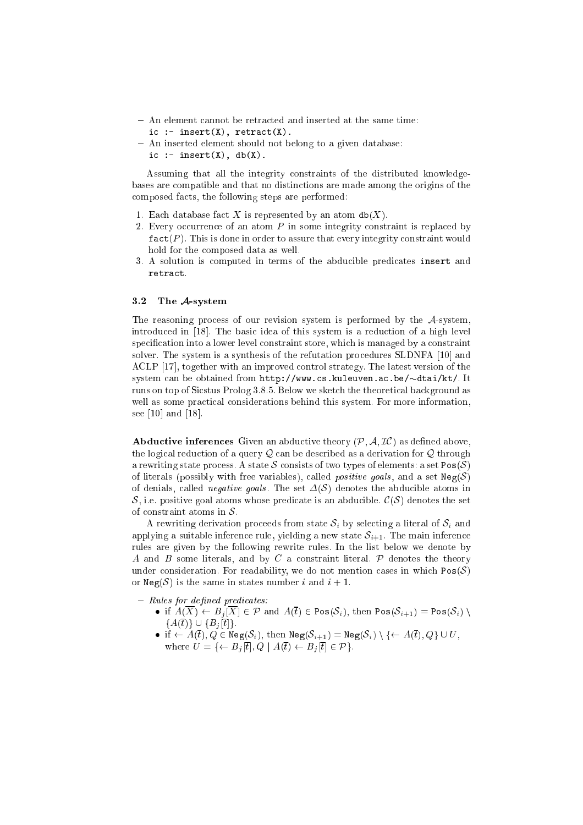- $=$  An element cannot be retracted and inserted at the same time: i :- insert(X), retra
t(X).
- $-$  An inserted element should not belong to a given database: i :- insert(X), db(X).

Assuming that all the integrity onstraints of the distributed knowledgebases are ompatible and that no distin
tions are made among the origins of the composed facts, the following steps are performed:

- 1. Each database fact X is represented by an atom  $db(X)$ .
- 2. Every occurrence of an atom  $P$  in some integrity constraint is replaced by  $\texttt{fact}(P)$ . This is done in order to assure that every integrity constraint would hold for the omposed data as well.
- 3. A solution is computed in terms of the abducible predicates insert and

### 3.2 The A-system

The reasoning process of our revision system is performed by the  $A$ -system, introduced in [18]. The basic idea of this system is a reduction of a high level specification into a lower level constraint store, which is managed by a constraint solver. The system is a synthesis of the refutation procedures SLDNFA [10] and ACLP  $[17]$ , together with an improved control strategy. The latest version of the system can be obtained from  $http://www.cs.kuleuven.ac.be/~dtai/kt/.$  It runs on top of Sicstus Prolog 3.8.5. Below we sketch the theoretical background as well as some practical considerations behind this system. For more information, see  $[10]$  and  $[18]$ .

**Abductive inferences** Given an abductive theory  $(\mathcal{P}, \mathcal{A}, \mathcal{I}\mathcal{C})$  as defined above, the logical reduction of a query  $\mathcal Q$  can be described as a derivation for  $\mathcal Q$  through a rewriting state process. A state S consists of two types of elements: a set  $Pos(S)$ of literals (possibly with free variables), called *positive goals*, and a set  $Neg(S)$ of denials, called *negative goals*. The set  $\Delta(S)$  denotes the abducible atoms in S, i.e. positive goal atoms whose predicate is an abducible.  $\mathcal{C}(S)$  denotes the set of constraint atoms in  $S$ .

A rewriting derivation proceeds from state  $S_i$  by selecting a literal of  $S_i$  and applying a suitable inference rule, yielding a new state  $S_{i+1}$ . The main inference rules are given by the following rewrite rules. In the list below we denote by A and B some literals, and by C a constraint literal.  $\mathcal P$  denotes the theory under consideration. For readability, we do not mention cases in which  $Pos(S)$ or  $Neg(S)$  is the same in states number i and  $i + 1$ .

- Rules for defined predicates:
	- if  $A(\overline{X}) \leftarrow B_j[\overline{X}] \in \mathcal{P}$  and  $A(\overline{t}) \in \text{Pos}(\mathcal{S}_i)$ , then  $\text{Pos}(\mathcal{S}_{i+1}) = \text{Pos}(\mathcal{S}_i)$  ${A(\overline{t})\}\cup {B_j[\overline{t}]}.$
	- if  $A(t)$ ;  $A(t)$ ;  $A(t)$ ;  $A(t)$ ;  $A(t)$ ;  $A(t)$ ;  $A(t)$ ;  $A(t)$ ;  $A(t)$ ;  $A(t)$ ;  $A(t)$ ;  $A(t)$ ;  $A(t)$ ;  $A(t)$ ;  $A(t)$ ;  $A(t)$ ;  $A(t)$ ;  $A(t)$ ;  $A(t)$ ;  $A(t)$ ;  $A(t)$ ;  $A(t)$ ;  $A(t)$ ;  $A(t)$ ;  $A(t)$ ;  $A(t)$ ;  $A(t)$ ;  $A(t)$ ;  $A(t)$ ;  $A(t)$ ;  $A(t)$ ; where  $U = \{ \leftarrow B_j [\overline{t}], Q \mid A(\overline{t}) \leftarrow B_j [\overline{t}] \in \mathcal{P} \}.$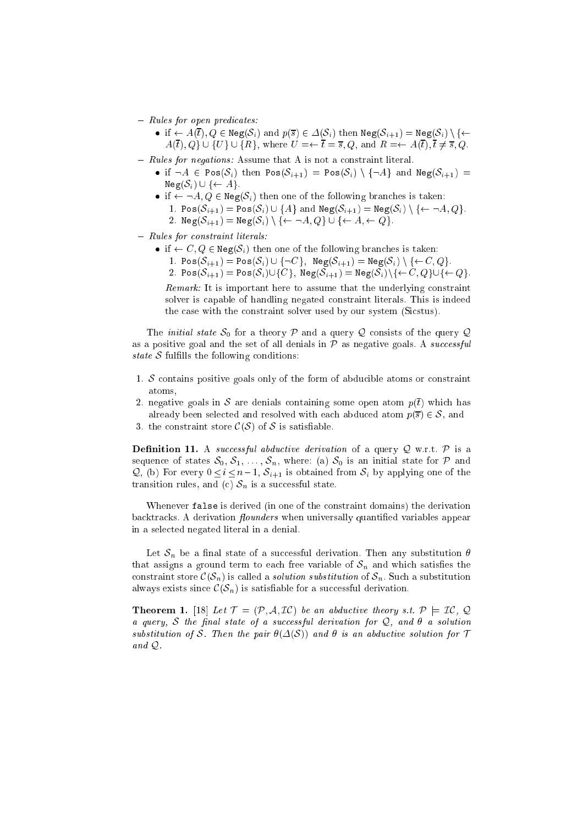- $-$  Rules for open predicates:
	- if  $\leftarrow A(\overline{t}), Q \in \text{Neg}(\mathcal{S}_i)$  and  $p(\overline{s}) \in \Delta(\mathcal{S}_i)$  then  $\text{Neg}(\mathcal{S}_{i+1}) = \text{Neg}(\mathcal{S}_i) \setminus \{\leftarrow\}$  $A(\overline{t}), Q$   $\cup$  {U}  $\cup$  {R}, where  $U = \leftarrow \overline{t} = \overline{s}, Q$ , and  $R = \leftarrow A(\overline{t}), \overline{t} \neq \overline{s}, Q$ .
- $-$  Rules for negations: Assume that A is not a constraint literal.
	- if  $\neg A \in \text{Pos}(\mathcal{S}_i)$  then  $\text{Pos}(\mathcal{S}_{i+1}) = \text{Pos}(\mathcal{S}_i) \setminus \{\neg A\}$  and  $\text{Neg}(\mathcal{S}_{i+1}) =$  $Neg(S_i) \cup \{\leftarrow A\}.$
	- if  $\leftarrow \neg A, Q \in \text{Neg}(\mathcal{S}_i)$  then one of the following branches is taken: 1.  $Pos(\mathcal{S}_{i+1}) = Pos(\mathcal{S}_i) \cup \{A\}$  and  $Neg(\mathcal{S}_{i+1}) = Neg(\mathcal{S}_i) \setminus \{\leftarrow \neg A, Q\}.$ 2.  $\text{Neg}(\mathcal{S}_{i+1}) = \text{Neg}(\mathcal{S}_i) \setminus \{\leftarrow \neg A, Q\} \cup \{\leftarrow A, \leftarrow Q\}.$
- $-$  Rules for constraint literals:
	- if  $\leftarrow C, Q \in \text{Neg}(\mathcal{S}_i)$  then one of the following branches is taken:
		- 1.  $Pos(\mathcal{S}_{i+1}) = Pos(\mathcal{S}_i) \cup \{\neg C\}$ ,  $Neg(\mathcal{S}_{i+1}) = Neg(\mathcal{S}_i) \setminus \{\leftarrow C, Q\}$ .
		- 2.  $Pos(\mathcal{S}_{i+1}) = Pos(\mathcal{S}_i) \cup \{C\}, Neg(\mathcal{S}_{i+1}) = Neg(\mathcal{S}_i) \setminus \{\leftarrow C,Q\} \cup \{\leftarrow Q\}.$

Remark: It is important here to assume that the underlying constraint solver is apable of handling negated onstraint literals. This is indeed the case with the constraint solver used by our system (Sicstus).

The *initial state*  $S_0$  for a theory  $P$  and a query  $Q$  consists of the query  $Q$ as a positive goal and the set of all denials in  $P$  as negative goals. A successful state  $S$  fulfills the following conditions:

- 1.  $S$  contains positive goals only of the form of abducible atoms or constraint atoms. atoms,
- 2. negative goals in S are denials containing some open atom  $p(\bar{t})$  which has already been selected and resolved with each abduced atom  $p(\bar{s}) \in S$ , and
- 3. the constraint store  $\mathcal{C}(\mathcal{S})$  of S is satisfiable.

**Definition 11.** A successful abductive derivation of a query Q w.r.t. P is a sequence of states  $S_0, S_1, \ldots, S_n$ , where: (a)  $S_0$  is an initial state for  $P$  and Q, (b) For every  $0 \le i \le n-1$ ,  $S_{i+1}$  is obtained from  $S_i$  by applying one of the transition rules, and (c)  $S_n$  is a successful state.

Whenever false is derived (in one of the onstraint domains) the derivation backtracks. A derivation flounders when universally quantified variables appear in a sele
ted negated literal in a denial.

Let  $S_n$  be a final state of a successful derivation. Then any substitution  $\theta$ that assigns a ground term to each free variable of  $S_n$  and which satisfies the constraint store  $\mathcal{C}(\mathcal{S}_n)$  is called a *solution substitution* of  $\mathcal{S}_n$ . Such a substitution always exists since  $\mathcal{C}(\mathcal{S}_n)$  is satisfiable for a successful derivation.

**Theorem 1.** [18] Let  $\mathcal{T} = (\mathcal{P}, \mathcal{A}, \mathcal{I}\mathcal{C})$  be an abductive theory s.t.  $\mathcal{P} \models \mathcal{I}\mathcal{C}, \mathcal{Q}$ a query, S the final state of a successful derivation for  $Q$ , and  $\theta$  a solution substitution of S. Then the pair  $\theta(\Delta(\mathcal{S}))$  and  $\theta$  is an abductive solution for T and Q.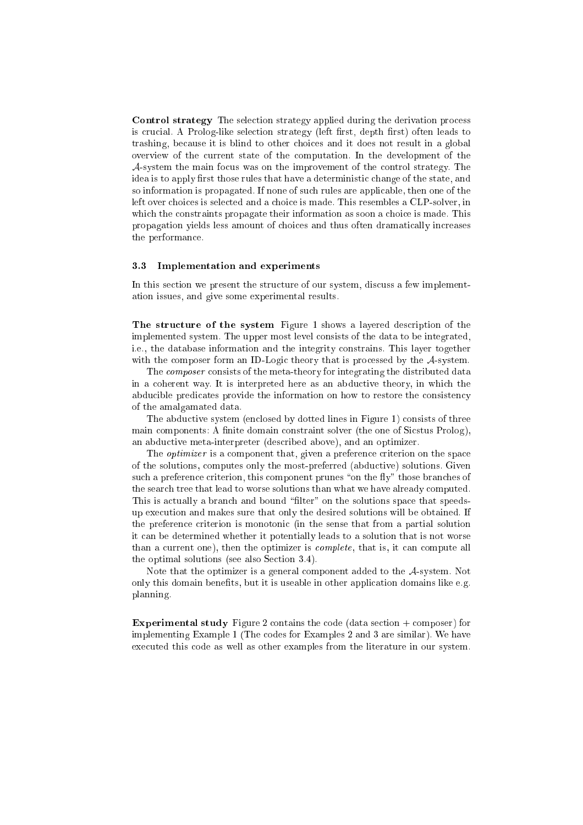Control strategy The selection strategy applied during the derivation process is crucial. A Prolog-like selection strategy (left first, depth first) often leads to trashing, because it is blind to other choices and it does not result in a global overview of the urrent state of the omputation. In the development of the A-system the main fo
us was on the improvement of the ontrol strategy. The idea is to apply first those rules that have a deterministic change of the state, and so information is propagated. If none of such rules are applicable, then one of the left over choices is selected and a choice is made. This resembles a CLP-solver, in which the constraints propagate their information as soon a choice is made. This propagation yields less amount of choices and thus often dramatically increases the performan
e.

### 3.3 Implementation and experiments

In this section we present the structure of our system, discuss a few implementation issues, and give some experimental results.

The structure of the system Figure 1 shows a layered description of the implemented system. The upper most level onsists of the data to be integrated, i.e., the database information and the integrity onstrains. This layer together with the composer form an ID-Logic theory that is processed by the  $A$ -system.

The *composer* consists of the meta-theory for integrating the distributed data in a coherent way. It is interpreted here as an abductive theory, in which the abducible predicates provide the information on how to restore the consistency of the amalgamated data.

The abductive system (enclosed by dotted lines in Figure 1) consists of three main components: A finite domain constraint solver (the one of Sicstus Prolog), an abdu
tive meta-interpreter (des
ribed above), and an optimizer.

The *optimizer* is a component that, given a preference criterion on the space of the solutions, omputes only the most-preferred (abdu
tive) solutions. Given such a preference criterion, this component prunes "on the fly" those branches of the sear
h tree that lead to worse solutions than what we have already omputed. This is actually a branch and bound "filter" on the solutions space that speedsup exe
ution and makes sure that only the desired solutions will be obtained. If the preference criterion is monotonic (in the sense that from a partial solution it an be determined whether it potentially leads to a solution that is not worse than a current one), then the optimizer is *complete*, that is, it can compute all the optimal solutions (see also Section 3.4).

Note that the optimizer is a general omponent added to the A-system. Not only this domain benefits, but it is useable in other application domains like e.g. planning.

Experimental study Figure 2 contains the code (data section  $+$  composer) for implementing Example 1 (The odes for Examples 2 and 3 are similar). We have exe
uted this ode as well as other examples from the literature in our system.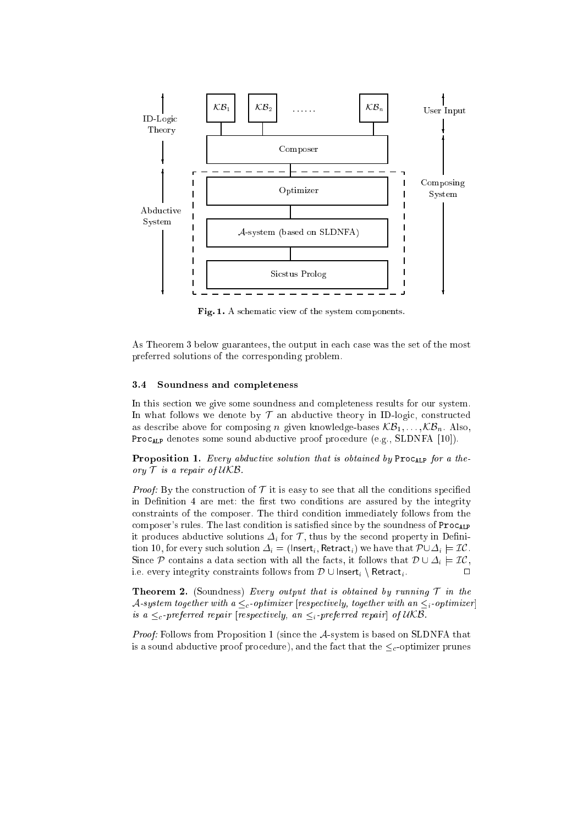

Fig. 1. A schematic view of the system components.

As Theorem 3 below guarantees, the output in each case was the set of the most preferred solutions of the orresponding problem.

#### $3.4$ Soundness and completeness

In this se
tion we give some soundness and ompleteness results for our system. In what follows we denote by  $\mathcal T$  an abductive theory in ID-logic, constructed as describe above for composing *n* given knowledge-bases  $KB_1, \ldots, KB_n$ . Also, Proc<sub>ALP</sub> denotes some sound abductive proof procedure (e.g., SLDNFA [10]).

**Proposition 1.** Every abductive solution that is obtained by Proc<sub>ALP</sub> for a theory  $T$  is a repair of  $UKB$ .

*Proof:* By the construction of  $\mathcal T$  it is easy to see that all the conditions specified in Definition 4 are met: the first two conditions are assured by the integrity onstraints of the omposer. The third ondition immediately follows from the composer's rules. The last condition is satisfied since by the soundness of  $Proc_{AD}$ it produces abductive solutions  $\Delta_i$  for  $\mathcal{T}$ , thus by the second property in Definition 10, for every such solution  $\Delta_i = (\text{Insert}_i, \text{Retract}_i)$  we have that  $P \cup \Delta_i \models \mathcal{IC}$ . Since P contains a data section with all the facts, it follows that  $D \cup \Delta_i \models \mathcal{IC}$ , i.e. every integrity constraints follows from  $D \cup$  Insert<sub>i</sub> \ Retract<sub>i</sub>.  $\Box$ 

**Theorem 2.** (Soundness) Every output that is obtained by running  $\mathcal{T}$  in the A-system together with a  $\leq_c$ -optimizer [respectively, together with an  $\leq_c$ -optimizer] is a  $\leq_c$ -preferred repair [respectively, an  $\leq_i$ -preferred repair] of UKB.

Proof: Follows from Proposition 1 (since the A-system is based on SLDNFA that is a sound abductive proof procedure), and the fact that the  $\leq_c$ -optimizer prunes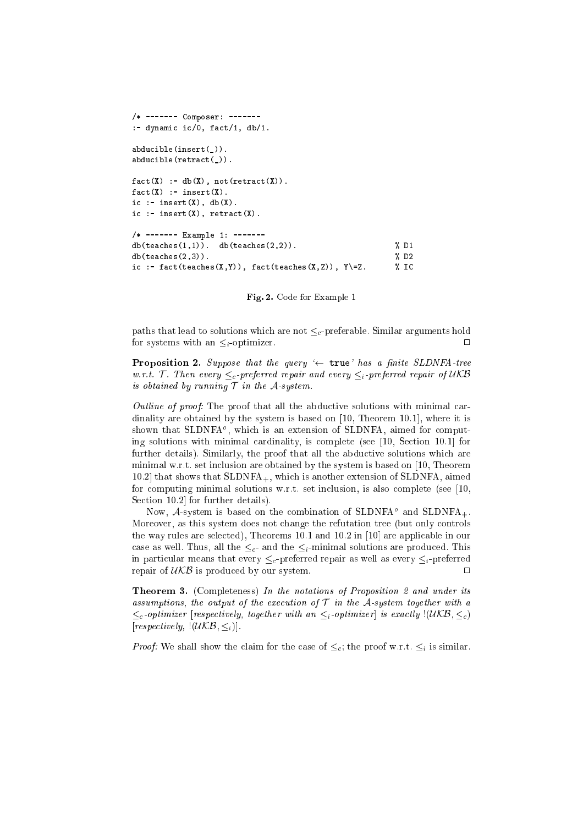```
/* ------- Composer: -------
:- dynamic ic/0, fact/1, db/1.
abdu
ible(insert(_)).
abducible(retract()).
fact(X) :- db(X), not(retract(X)).fact(X) :- insert(X).
ic :- insert(X), db(X).
ic :- insert(X), retract(X).
/* ------- Example 1: -------
db(teaches(1,1)). db(teaches(2,2)). \qquad \qquad \text{\text{\textbackslash$}}\  \, 01db(teaches(2,3)). % D2
ic :- fact(teaches(X,Y)), fact(teaches(X,Z)), Y\=Z. % X IC
```
Fig. 2. Code for Example 1

paths that lead to solutions which are not  $\leq_c$ -preferable. Similar arguments hold for systems with an  $\lt_i$ -optimizer.  $\Box$ 

**Proposition 2.** Suppose that the query  $\leftarrow$  true' has a finite SLDNFA-tree w.r.t. T. Then every  $\leq_c$ -preferred repair and every  $\leq_i$ -preferred repair of UKB is obtained by running  $\mathcal T$  in the A-system.

Outline of proof: The proof that all the abductive solutions with minimal cardinality are obtained by the system is based on  $[10,$  Theorem 10.1, where it is  $_{\rm{SIOWH}}$  that SLDNFA , which is an extension of SLDNFA, almed for computing solutions with minimal cardinality, is complete (see  $[10, Section 10.1]$  for further details). Similarly, the proof that all the abductive solutions which are minimal w.r.t. set in
lusion are obtained by the system is based on [10, Theorem 10.2 that shows that  $SLDNFA_+$ , which is another extension of  $SLDNFA$ , aimed for omputing minimal solutions w.r.t. set in
lusion, is also omplete (see [10, Section 10.2 for further details).

Now,  $A$ -system is based on the combination of SLDNFA<sup>-</sup> and SLDNFA<sub>+</sub>. Moreover, as this system does not change the refutation tree (but only controls the way rules are selected), Theorems  $10.1$  and  $10.2$  in  $[10]$  are applicable in our case as well. Thus, all the  $\leq_c$  and the  $\leq_i$ -minimal solutions are produced. This in particular means that every  $\leq_c$ -preferred repair as well as every  $\leq_i$ -preferred repair of  $UKB$  is produced by our system.  $\Box$ 

Theorem 3. (Completeness) In the notations of Proposition 2 and under its assumptions, the output of the execution of  $\mathcal T$  in the A-system together with a  $\leq_c$ -optimizer [respectively, together with an  $\leq_i$ -optimizer] is exactly  $\mathcal{U}(\mathcal{UKB}, \leq_c)$  $[respectively, \, \mathcal{UKB}, \leq_i)].$ 

*Proof:* We shall show the claim for the case of  $\leq_c$ ; the proof w.r.t.  $\leq_i$  is similar.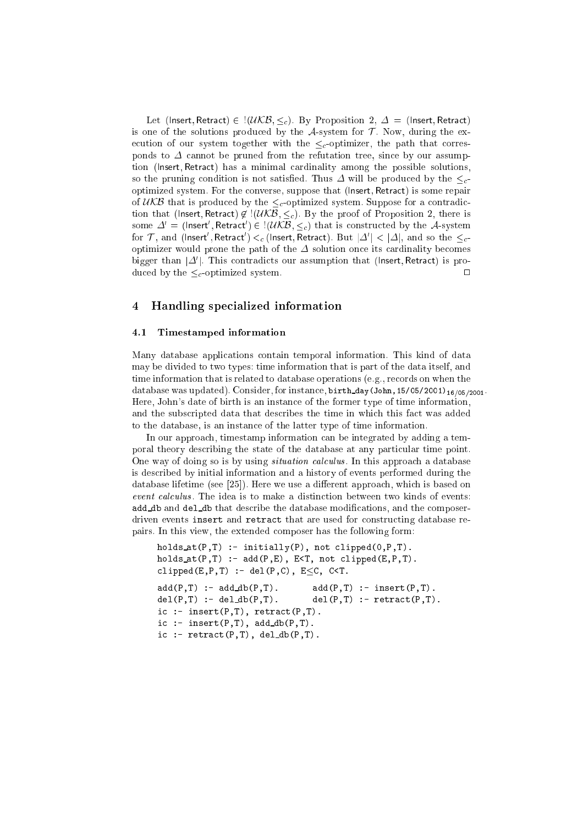Let (Insert, Retract)  $\in$  !( $\mathcal{UKB}, \leq_c$ ). By Proposition 2,  $\Delta =$  (Insert, Retract) is one of the solutions produced by the  $A$ -system for  $T$ . Now, during the execution of our system together with the  $\leq_c$ -optimizer, the path that corresponds to  $\Delta$  cannot be pruned from the refutation tree, since by our assumption (Insert; Retra
t) has a minimal ardinality among the possible solutions, so the pruning condition is not satisfied. Thus  $\Delta$  will be produced by the  $\leq_c$ optimized system. For the converse, suppose that (Insert, Retract) is some repair of  $\mathcal{UKB}$  that is produced by the  $\leq_c$ -optimized system. Suppose for a contradiction that (lnsert, Retract)  $\notin \{(\mathcal{UKB}, \leq_c)$ . By the proof of Proposition 2, there is some  $\varDelta' = (\mathsf{Insert}',\mathsf{Retract}') \in \exists (\mathcal{UKB}, \leq_c)$  that is constructed by the  $\mathcal{A}\text{-system}$ for  ${\cal T},$  and (Insert', Retract')  $<_c$  (Insert, Retract). But  $|\varDelta'|<|\varDelta|$ , and so the  $\leq_c$ optimizer would prone the path of the  $\Delta$  solution once its cardinality becomes bigger than  $|\varDelta'|$ . This contradicts our assumption that (Insert, Retract) is produced by the  $\leq_c$ -optimized system.  $\Box$ 

### 4Handling spe
ialized information

#### $41$ 4.1 Timestamped information

Many database applications contain temporal information. This kind of data may be divided to two types: time information that is part of the data itself, and time information that is related to database operations (e.g., records on when the database was updated). Consider, for instance, birth\_day(John, 15/05/2001)<sub>16/05/2001</sub>. Here, John's date of birth is an instan
e of the former type of time information, and the subs
ripted data that des
ribes the time in whi
h this fa
t was added to the database, is an instan
e of the latter type of time information.

In our approach, timestamp information can be integrated by adding a temporal theory des
ribing the state of the database at any parti
ular time point. One way of doing so is by using *situation calculus*. In this approach a database is des
ribed by initial information and a history of events performed during the database lifetime (see [25]). Here we use a different approach, which is based on event calculus. The idea is to make a distinction between two kinds of events: add del de database modification de la destinación de la destinación de la destinación de la desperación driven events insert and retract that are used for constructing database repairs. In this view, the extended omposer has the following form:

```
holds at(P,T) :- initially(P), not 
lipped(0,P,T).
holds at(P,T) :- add(P,E), E<T, not 
lipped(E,P,T).

lipped(E,P,T) :- del(P,C), EC, C<T.
```

```
add(P,T) :- add_d b(P,T).add(P,T) := insert(P,T).
del(P,T) :- del_ddb(P,T).
                               del(P,T) : - retract(P,T).
i
 :- insert(P,T), retra
t(P,T).
i
 :- insert(P,T), add db(P,T).
i
 :- retra
t(P,T), del db(P,T).
```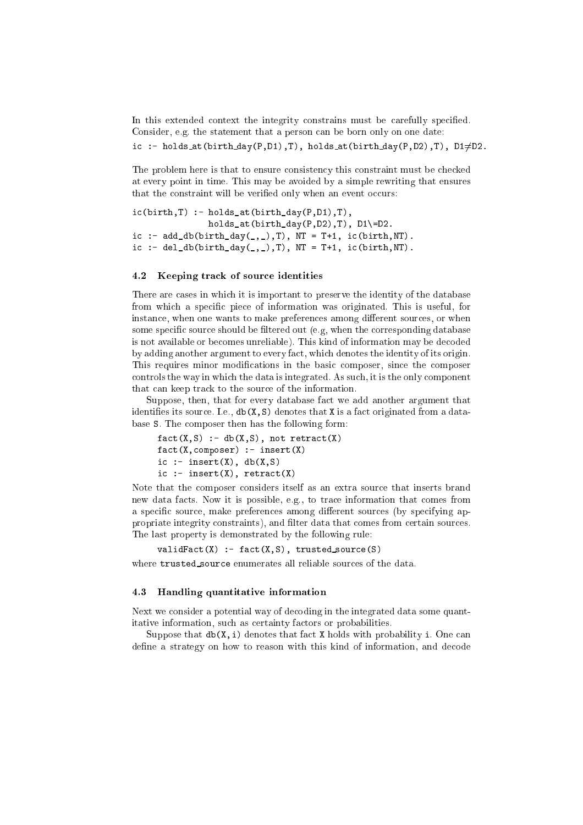In this extended context the integrity constrains must be carefully specified. Consider, e.g. the statement that a person can be born only on one date: i :- holds at(birth day(P,D1),T), holds at(birth day(P,D2),T), D16=D2.

The problem here is that to ensure consistency this constraint must be checked at every point in time. This may be avoided by a simple rewriting that ensures that the constraint will be verified only when an event occurs:

```
i
(birth,T) :- holds_at(birth_day(P,D1),T),
               holds_at(birth_day(P,D2),T2), D2, D2
i
 :- add_db(birth_day(_,_),T), NT = T+1, i
(birth,NT).
i
 :- del_db(birth_day(_,_),T), NT = T+1, i
(birth,NT).
```
## 4.2 Keeping tra
k of sour
e identities

There are cases in which it is important to preserve the identity of the database from which a specific piece of information was originated. This is useful, for instance, when one wants to make preferences among different sources, or when some specific source should be filtered out (e.g, when the corresponding database is not available or becomes unreliable). This kind of information may be decoded by adding another argument to every fa
t, whi
h denotes the identity of its origin. This requires minor modifications in the basic composer, since the composer controls the way in which the data is integrated. As such, it is the only component that an keep tra
k to the sour
e of the information.

Suppose, then, that for every database fact we add another argument that identifies its source. I.e.,  $db(X, S)$  denotes that X is a fact originated from a database S. The omposer then has the following form:

```
fa
t(X,S) :- db(X,S), not retra
t(X)
fa
t(X,
omposer) :- insert(X)
i
 :- insert(X), db(X,S)
i
 :- insert(X), retra
t(X)
```
Note that the omposer onsiders itself as an extra sour
e that inserts brand new data facts. Now it is possible, e.g., to trace information that comes from a specific source, make preferences among different sources (by specifying appropriate integrity constraints), and filter data that comes from certain sources. The last property is demonstrated by the following rule:

validFa
t(X) :- fa
t(X,S), trusted sour
e(S)

where trusted source enumerates all reliable sources of the data.

# 4.3 Handling quantitative information

Next we consider a potential way of decoding in the integrated data some quantitative information, su
h as ertainty fa
tors or probabilities.

Suppose that  $db(X, i)$  denotes that fact X holds with probability i. One can define a strategy on how to reason with this kind of information, and decode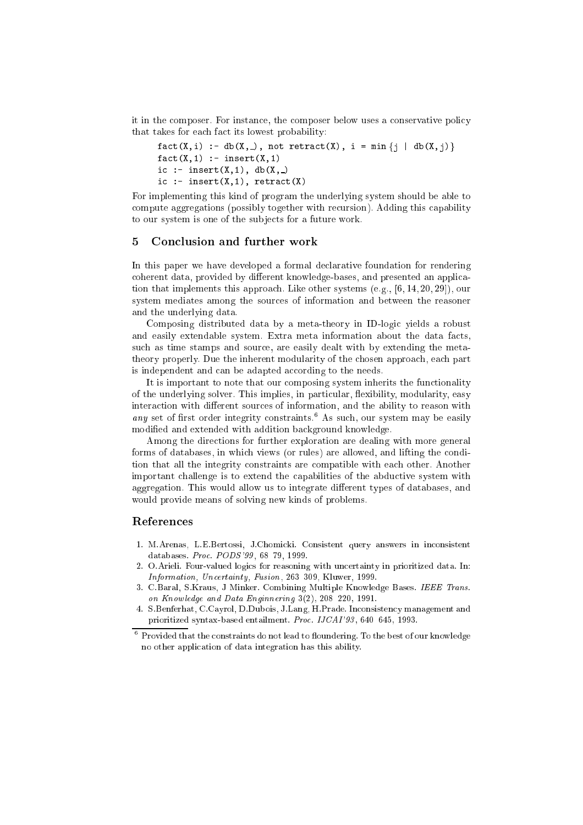it in the omposer. For instan
e, the omposer below uses a onservative poli
y that takes for ea
h fa
t its lowest probability:

```
the set of the set of the set of the set of the set of the set of the set of the set of the set of the set of 
the set of the set of the set of the set of the set of the set of the set of the set of the set of the set of
i
 :- insert(X,1), db(X, )
i
 :- insert(X,1), retra
t(X)
```
For implementing this kind of program the underlying system should be able to compute aggregations (possibly together with recursion). Adding this capability to our system is one of the subjects for a future work.

# 5

In this paper we have developed a formal de
larative foundation for rendering coherent data, provided by different knowledge-bases, and presented an application that implements this approach. Like other systems  $(e.g., [6, 14, 20, 29])$ , our system mediates among the sour
es of information and between the reasoner and the underlying data.

Composing distributed data by a meta-theory in ID-logic yields a robust and easily extendable system. Extra meta information about the data facts, su
h as time stamps and sour
e, are easily dealt with by extending the metatheory properly. Due the inherent modularity of the chosen approach, each part is independent and can be adapted according to the needs.

It is important to note that our composing system inherits the functionality of the underlying solver. This implies, in particular, flexibility, modularity, easy interaction with different sources of information, and the ability to reason with any set of first order integrity constraints.<sup>6</sup> As such, our system may be easily modied and extended with addition ba
kground knowledge.

Among the dire
tions for further exploration are dealing with more general forms of databases, in which views (or rules) are allowed, and lifting the condition that all the integrity onstraints are ompatible with ea
h other. Another important challenge is to extend the capabilities of the abductive system with aggregation. This would allow us to integrate different types of databases, and would provide means of solving new kinds of problems.

# **References**

- 1. M.Arenas, L.E.Bertossi, J.Chomi
ki. Consistent query answers in in
onsistent databases. *Proc. PODS'99*, 68-79, 1999.
- 2. O.Arieli. Four-valued logi
s for reasoning with un
ertainty in prioritized data. In:  $2^{\circ}$ Information, Uncertainty, Fusion, 263-309, Kluwer, 1999.
- 3. C.Baral, S.Kraus, J Minker. Combining Multiple Knowledge Bases. IEEE Trans. on Knowledge and Data Enginnering  $3(2)$ ,  $208-220$ , 1991.
- 4. S.Benferhat, C.Cayrol, D.Dubois, J.Lang, H.Prade. In
onsisten
y management and prioritized syntax-based entailment. Proc. IJCAI'93, 640-645, 1993.

 $\,$  - Provided that the constraints do not lead to floundering. To the best of our knowledge no other appli
ation of data integration has this ability.